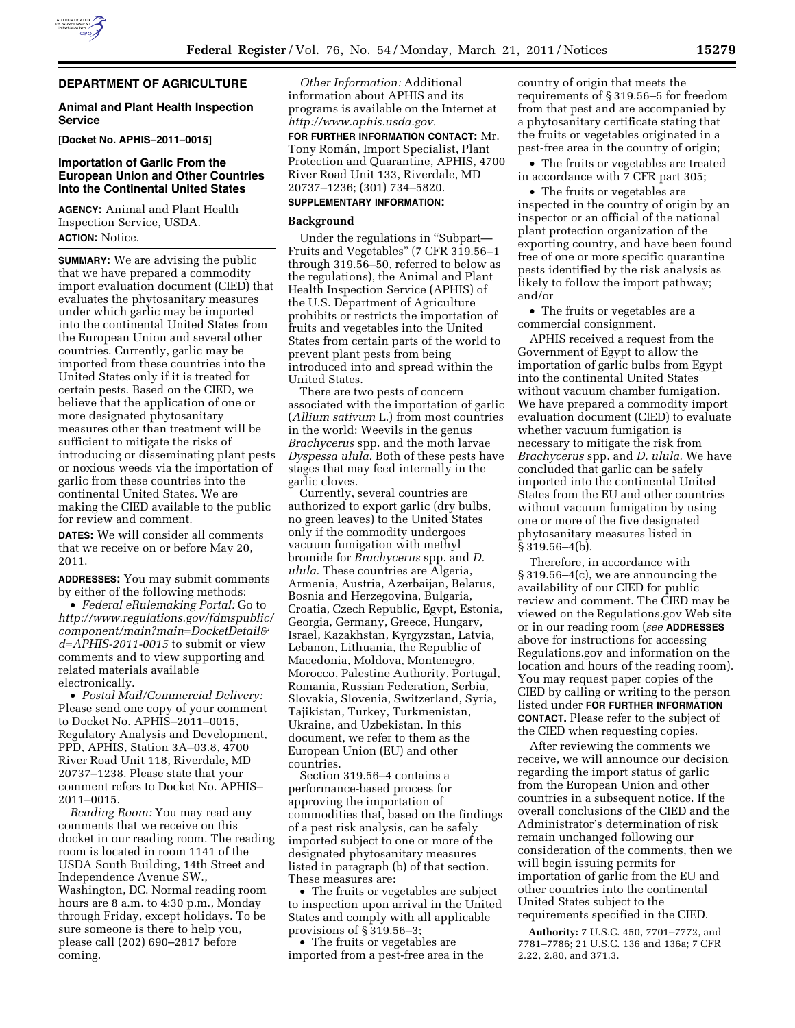# **DEPARTMENT OF AGRICULTURE**

### **Animal and Plant Health Inspection Service**

**[Docket No. APHIS–2011–0015]** 

# **Importation of Garlic From the European Union and Other Countries Into the Continental United States**

**AGENCY:** Animal and Plant Health Inspection Service, USDA. **ACTION:** Notice.

**SUMMARY:** We are advising the public that we have prepared a commodity import evaluation document (CIED) that evaluates the phytosanitary measures under which garlic may be imported into the continental United States from the European Union and several other countries. Currently, garlic may be imported from these countries into the United States only if it is treated for certain pests. Based on the CIED, we believe that the application of one or more designated phytosanitary measures other than treatment will be sufficient to mitigate the risks of introducing or disseminating plant pests or noxious weeds via the importation of garlic from these countries into the continental United States. We are making the CIED available to the public for review and comment.

**DATES:** We will consider all comments that we receive on or before May 20, 2011.

**ADDRESSES:** You may submit comments by either of the following methods:

• *Federal eRulemaking Portal:* Go to *[http://www.regulations.gov/fdmspublic/](http://www.regulations.gov/fdmspublic/component/main?main=DocketDetail&d=APHIS-2011-0015) [component/main?main=DocketDetail&](http://www.regulations.gov/fdmspublic/component/main?main=DocketDetail&d=APHIS-2011-0015) [d=APHIS-2011-0015](http://www.regulations.gov/fdmspublic/component/main?main=DocketDetail&d=APHIS-2011-0015)* to submit or view comments and to view supporting and related materials available electronically.

• *Postal Mail/Commercial Delivery:*  Please send one copy of your comment to Docket No. APHIS–2011–0015, Regulatory Analysis and Development, PPD, APHIS, Station 3A–03.8, 4700 River Road Unit 118, Riverdale, MD 20737–1238. Please state that your comment refers to Docket No. APHIS– 2011–0015.

*Reading Room:* You may read any comments that we receive on this docket in our reading room. The reading room is located in room 1141 of the USDA South Building, 14th Street and Independence Avenue SW., Washington, DC. Normal reading room hours are 8 a.m. to 4:30 p.m., Monday through Friday, except holidays. To be sure someone is there to help you, please call (202) 690–2817 before coming.

*Other Information:* Additional information about APHIS and its programs is available on the Internet at *[http://www.aphis.usda.gov.](http://www.aphis.usda.gov)* 

**FOR FURTHER INFORMATION CONTACT:** Mr. Tony Román, Import Specialist, Plant Protection and Quarantine, APHIS, 4700 River Road Unit 133, Riverdale, MD 20737–1236; (301) 734–5820.

# **SUPPLEMENTARY INFORMATION:**

#### **Background**

Under the regulations in ''Subpart— Fruits and Vegetables'' (7 CFR 319.56–1 through 319.56–50, referred to below as the regulations), the Animal and Plant Health Inspection Service (APHIS) of the U.S. Department of Agriculture prohibits or restricts the importation of fruits and vegetables into the United States from certain parts of the world to prevent plant pests from being introduced into and spread within the United States.

There are two pests of concern associated with the importation of garlic (*Allium sativum* L.) from most countries in the world: Weevils in the genus *Brachycerus* spp. and the moth larvae *Dyspessa ulula.* Both of these pests have stages that may feed internally in the garlic cloves.

Currently, several countries are authorized to export garlic (dry bulbs, no green leaves) to the United States only if the commodity undergoes vacuum fumigation with methyl bromide for *Brachycerus* spp. and *D. ulula.* These countries are Algeria, Armenia, Austria, Azerbaijan, Belarus, Bosnia and Herzegovina, Bulgaria, Croatia, Czech Republic, Egypt, Estonia, Georgia, Germany, Greece, Hungary, Israel, Kazakhstan, Kyrgyzstan, Latvia, Lebanon, Lithuania, the Republic of Macedonia, Moldova, Montenegro, Morocco, Palestine Authority, Portugal, Romania, Russian Federation, Serbia, Slovakia, Slovenia, Switzerland, Syria, Tajikistan, Turkey, Turkmenistan, Ukraine, and Uzbekistan. In this document, we refer to them as the European Union (EU) and other countries.

Section 319.56–4 contains a performance-based process for approving the importation of commodities that, based on the findings of a pest risk analysis, can be safely imported subject to one or more of the designated phytosanitary measures listed in paragraph (b) of that section. These measures are:

• The fruits or vegetables are subject to inspection upon arrival in the United States and comply with all applicable provisions of § 319.56–3;

• The fruits or vegetables are imported from a pest-free area in the country of origin that meets the requirements of § 319.56–5 for freedom from that pest and are accompanied by a phytosanitary certificate stating that the fruits or vegetables originated in a pest-free area in the country of origin;

• The fruits or vegetables are treated in accordance with 7 CFR part 305;

• The fruits or vegetables are inspected in the country of origin by an inspector or an official of the national plant protection organization of the exporting country, and have been found free of one or more specific quarantine pests identified by the risk analysis as likely to follow the import pathway; and/or

• The fruits or vegetables are a commercial consignment.

APHIS received a request from the Government of Egypt to allow the importation of garlic bulbs from Egypt into the continental United States without vacuum chamber fumigation. We have prepared a commodity import evaluation document (CIED) to evaluate whether vacuum fumigation is necessary to mitigate the risk from *Brachycerus* spp. and *D. ulula.* We have concluded that garlic can be safely imported into the continental United States from the EU and other countries without vacuum fumigation by using one or more of the five designated phytosanitary measures listed in § 319.56–4(b).

Therefore, in accordance with § 319.56–4(c), we are announcing the availability of our CIED for public review and comment. The CIED may be viewed on the Regulations.gov Web site or in our reading room (*see* **ADDRESSES** above for instructions for accessing Regulations.gov and information on the location and hours of the reading room). You may request paper copies of the CIED by calling or writing to the person listed under **FOR FURTHER INFORMATION CONTACT.** Please refer to the subject of the CIED when requesting copies.

After reviewing the comments we receive, we will announce our decision regarding the import status of garlic from the European Union and other countries in a subsequent notice. If the overall conclusions of the CIED and the Administrator's determination of risk remain unchanged following our consideration of the comments, then we will begin issuing permits for importation of garlic from the EU and other countries into the continental United States subject to the requirements specified in the CIED.

**Authority:** 7 U.S.C. 450, 7701–7772, and 7781–7786; 21 U.S.C. 136 and 136a; 7 CFR 2.22, 2.80, and 371.3.